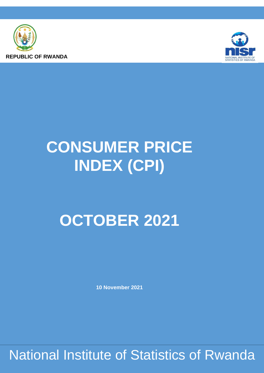



# **CONSUMER PRICE INDEX (CPI)**

## **OCTOBER 2021**

**10 November 2021**

National Institute of Statistics of Rwanda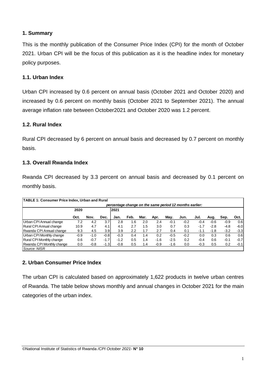#### **1. Summary**

This is the monthly publication of the Consumer Price Index (CPI) for the month of October 2021. Urban CPI will be the focus of this publication as it is the headline index for monetary policy purposes.

#### **1.1. Urban Index**

Urban CPI increased by 0.6 percent on annual basis (October 2021 and October 2020) and increased by 0.6 percent on monthly basis (October 2021 to September 2021). The annual average inflation rate between October2021 and October 2020 was 1.2 percent.

#### **1.2. Rural Index**

Rural CPI decreased by 6 percent on annual basis and decreased by 0.7 percent on monthly basis.

#### **1.3. Overall Rwanda Index**

Rwanda CPI decreased by 3.3 percent on annual basis and decreased by 0.1 percent on monthly basis.

| <b>TABLE 1: Consumer Price Index, Urban and Rural</b>   |        |        |        |        |      |      |        |        |        |        |        |                  |        |
|---------------------------------------------------------|--------|--------|--------|--------|------|------|--------|--------|--------|--------|--------|------------------|--------|
| percentage change on the same period 12 months earlier: |        |        |        |        |      |      |        |        |        |        |        |                  |        |
|                                                         | 2020   |        |        | 2021   |      |      |        |        |        |        |        |                  |        |
|                                                         | Oct.   | Nov.   | Dec.   | Jan.   | Feb. | Mar. | Apr.   | May.   | Jun.   | Jul.   | Aug.   | Sep.             | Oct.   |
| Urban CPI Annual change                                 | 7.2    | 4.2    | 3.7    | 2.8    | 1.6  | 2.0  | 2.4    | $-0.1$ | $-0.2$ | $-0.4$ | $-0.6$ | $-0.9$           | 0.6    |
| Rural CPI Annual change                                 | 10.9   | 4.7    | 4.1    | 4.1    | 2.7  | 1.5  | 3.0    | 0.7    | 0.3    | $-1.7$ | $-2.8$ | $-4.8$           | -6.01  |
| Rwanda CPI Annual change                                | 9.3    | 4.5    | 3.9    | 3.9    | 2.2  | 1.7  | 2.7    | 0.4    | 0.1    | $-1.1$ | $-1.8$ | $-3.2$           | $-3.3$ |
| Urban CPI Monthly change                                | $-0.9$ | $-1.0$ | $-0.8$ | $-0.3$ | 0.4  | 1.4  | 0.2    | $-0.5$ | $-0.2$ | 0.0    | 0.3    | 0.6              | 0.6    |
| Rural CPI Monthly change                                | 0.6    | $-0.7$ | $-1.7$ | $-1.2$ | 0.5  | 1.4  | $-1.6$ | $-2.5$ | 0.2    | $-0.4$ | 0.6    | $-0.1$           | $-0.7$ |
| Rwanda CPI Monthly change                               | 0.0    | $-0.8$ | $-1.3$ | $-0.8$ | 0.5  | 1.4  | $-0.9$ | -1.6   | 0.0    | $-0.3$ | 0.5    | 0.2 <sub>0</sub> | $-0.1$ |
| Source: NISR                                            |        |        |        |        |      |      |        |        |        |        |        |                  |        |

#### **2. Urban Consumer Price Index**

The urban CPI is calculated based on approximately 1,622 products in twelve urban centres of Rwanda. The table below shows monthly and annual changes in October 2021 for the main categories of the urban index.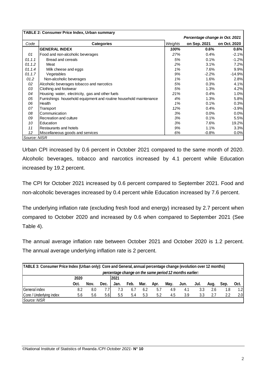|              | <b>TABLE 2: Consumer Price Index, Urban summary</b>               |         |                                |              |
|--------------|-------------------------------------------------------------------|---------|--------------------------------|--------------|
|              |                                                                   |         | Percentage change in Oct. 2021 |              |
| Code         | <b>Categories</b>                                                 | Weights | on Sep. 2021                   | on Oct. 2020 |
|              | <b>GENERAL INDEX</b>                                              | 100%    | 0.6%                           | 0.6%         |
| 01           | Food and non-alcoholic beverages                                  | 27%     | 0.4%                           | $-2.1%$      |
| 01.1.1       | Bread and cereals                                                 | 5%      | 0.1%                           | $-1.2%$      |
| 01.1.2       | Meat                                                              | 2%      | 3.1%                           | 7.2%         |
| 01.1.4       | Milk cheese and eggs                                              | 1%      | 7.6%                           | 9.9%         |
| 01.1.7       | Vegetables                                                        | 9%      | $-2.2%$                        | $-14.9%$     |
| 01.2         | Non-alcoholic beverages                                           | 1%      | 1.6%                           | 2.8%         |
| 02           | Alcoholic beverages tobacco and narcotics                         | 5%      | 0.3%                           | 4.1%         |
| 03           | Clothing and footwear                                             | 5%      | 1.3%                           | 4.2%         |
| 04           | Housing water, electricity, gas and other fuels                   | 21%     | 0.4%                           | 1.0%         |
| 05           | Furnishings household equipment and routine household maintenance | 4%      | 1.3%                           | 5.8%         |
| 06           | Health                                                            | 1%      | 0.1%                           | 0.3%         |
| 07           | Transport                                                         | 12%     | 0.4%                           | $-3.9%$      |
| 08           | Communication                                                     | 3%      | 0.0%                           | 0.0%         |
| 09           | Recreation and culture                                            | 3%      | 0.1%                           | 5.5%         |
| 10           | Education                                                         | 3%      | 7.6%                           | 19.2%        |
| 11           | Restaurants and hotels                                            | 9%      | 1.1%                           | 3.3%         |
| 12           | Miscellaneous goods and services                                  | 6%      | $-0.8%$                        | 0.0%         |
| Source: NISR |                                                                   |         |                                |              |

Urban CPI increased by 0.6 percent in October 2021 compared to the same month of 2020. Alcoholic beverages, tobacco and narcotics increased by 4.1 percent while Education increased by 19.2 percent.

The CPI for October 2021 increased by 0.6 percent compared to September 2021. Food and non-alcoholic beverages increased by 0.4 percent while Education increased by 7.6 percent.

The underlying inflation rate (excluding fresh food and energy) increased by 2.7 percent when compared to October 2020 and increased by 0.6 when compared to September 2021 (See Table 4).

The annual average inflation rate between October 2021 and October 2020 is 1.2 percent. The annual average underlying inflation rate is 2 percent.

| TABLE 3: Consumer Price Index (Urban only): Core and General, annual percentage change (evolution over 12 months) |      |      |      |      |      |      |      |      |      |      |      |      |                  |
|-------------------------------------------------------------------------------------------------------------------|------|------|------|------|------|------|------|------|------|------|------|------|------------------|
| percentage change on the same period 12 months earlier:                                                           |      |      |      |      |      |      |      |      |      |      |      |      |                  |
|                                                                                                                   | 2020 |      |      | 2021 |      |      |      |      |      |      |      |      |                  |
|                                                                                                                   | Oct. | Nov. | Dec. | Jan. | Feb. | Mar. | Apr. | May. | Jun. | Jul. | Aua. | Sep. | Oct.             |
| General index                                                                                                     | 8.2  | 8.0  | 7.7  | 7.3  | 6.7  | 6.2  | 5.7  | 4.9  | 4.1  | 3.3  | 2.6  | 1.8  | 1.2I             |
| Core / Underlying index                                                                                           | 5.6  | 5.6  | 5.6  | 5.5  | 5.4  | 5.3  | 5.2  | 4.5  | 3.9  | 3.3  | 2.7  | 2.2  | 2.0 <sub>l</sub> |
| Source: NISR                                                                                                      |      |      |      |      |      |      |      |      |      |      |      |      |                  |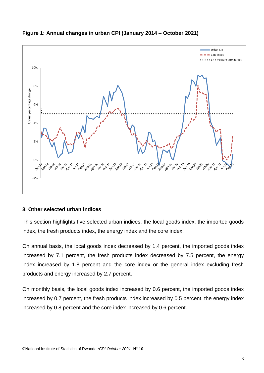

### **Figure 1: Annual changes in urban CPI (January 2014 – October 2021)**

#### **3. Other selected urban indices**

This section highlights five selected urban indices: the local goods index, the imported goods index, the fresh products index, the energy index and the core index.

On annual basis, the local goods index decreased by 1.4 percent, the imported goods index increased by 7.1 percent, the fresh products index decreased by 7.5 percent, the energy index increased by 1.8 percent and the core index or the general index excluding fresh products and energy increased by 2.7 percent.

On monthly basis, the local goods index increased by 0.6 percent, the imported goods index increased by 0.7 percent, the fresh products index increased by 0.5 percent, the energy index increased by 0.8 percent and the core index increased by 0.6 percent.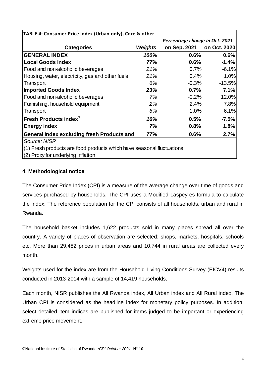| TABLE 4: Consumer Price Index (Urban only), Core & other              |         |                                |              |
|-----------------------------------------------------------------------|---------|--------------------------------|--------------|
|                                                                       |         | Percentage change in Oct. 2021 |              |
| <b>Categories</b>                                                     | Weights | on Sep. 2021                   | on Oct. 2020 |
| <b>GENERAL INDEX</b>                                                  | 100%    | 0.6%                           | 0.6%         |
| <b>Local Goods Index</b>                                              | 77%     | 0.6%                           | $-1.4%$      |
| Food and non-alcoholic beverages                                      | 21%     | 0.7%                           | $-6.1%$      |
| Housing, water, electricity, gas and other fuels                      | 21%     | 0.4%                           | 1.0%         |
| Transport                                                             | 6%      | $-0.3%$                        | $-13.5%$     |
| <b>Imported Goods Index</b>                                           | 23%     | 0.7%                           | 7.1%         |
| Food and non-alcoholic beverages                                      | 7%      | $-0.2%$                        | 12.0%        |
| Furnishing, household equipment                                       | 2%      | 2.4%                           | 7.8%         |
| Transport                                                             | 6%      | 1.0%                           | 6.1%         |
| Fresh Products index <sup>1</sup>                                     | 16%     | 0.5%                           | $-7.5\%$     |
| <b>Energy index</b>                                                   | 7%      | 0.8%                           | 1.8%         |
| <b>General Index excluding fresh Products and</b>                     | 77%     | 0.6%                           | 2.7%         |
| Source: NISR                                                          |         |                                |              |
| (1) Fresh products are food products which have seasonal fluctuations |         |                                |              |
| (2) Proxy for underlying inflation                                    |         |                                |              |

#### **4. Methodological notice**

The Consumer Price Index (CPI) is a measure of the average change over time of goods and services purchased by households. The CPI uses a Modified Laspeyres formula to calculate the index. The reference population for the CPI consists of all households, urban and rural in Rwanda.

The household basket includes 1,622 products sold in many places spread all over the country. A variety of places of observation are selected: shops, markets, hospitals, schools etc. More than 29,482 prices in urban areas and 10,744 in rural areas are collected every month.

Weights used for the index are from the Household Living Conditions Survey (EICV4) results conducted in 2013-2014 with a sample of 14,419 households.

Each month, NISR publishes the All Rwanda index, All Urban index and All Rural index. The Urban CPI is considered as the headline index for monetary policy purposes. In addition, select detailed item indices are published for items judged to be important or experiencing extreme price movement.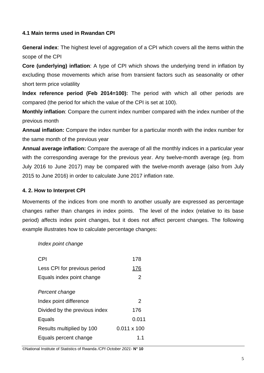#### **4.1 Main terms used in Rwandan CPI**

**General index:** The highest level of aggregation of a CPI which covers all the items within the scope of the CPI

**Core (underlying) inflation**: A type of CPI which shows the underlying trend in inflation by excluding those movements which arise from transient factors such as seasonality or other short term price volatility

**Index reference period (Feb 2014=100):** The period with which all other periods are compared (the period for which the value of the CPI is set at 100).

**Monthly inflation**: Compare the current index number compared with the index number of the previous month

**Annual inflation:** Compare the index number for a particular month with the index number for the same month of the previous year

**Annual average inflation:** Compare the average of all the monthly indices in a particular year with the corresponding average for the previous year. Any twelve-month average (eg. from July 2016 to June 2017) may be compared with the twelve-month average (also from July 2015 to June 2016) in order to calculate June 2017 inflation rate.

#### **4. 2. How to Interpret CPI**

Movements of the indices from one month to another usually are expressed as percentage changes rather than changes in index points. The level of the index (relative to its base period) affects index point changes, but it does not affect percent changes. The following example illustrates how to calculate percentage changes:

#### *Index point change*

| <b>CPI</b>                    | 178                |
|-------------------------------|--------------------|
| Less CPI for previous period  | 176                |
| Equals index point change     | 2                  |
| Percent change                |                    |
| Index point difference        | $\mathcal{P}$      |
| Divided by the previous index | 176                |
| Equals                        | 0.011              |
| Results multiplied by 100     | $0.011 \times 100$ |
| Equals percent change         | 1.1                |

©National Institute of Statistics of Rwanda */CPI October 2021*- **N° 10**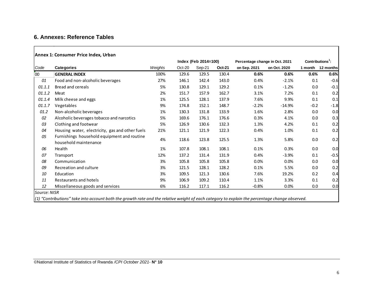### **6. Annexes: Reference Tables**

#### **Annex 1: Consumer Price Index, Urban**

|              |                                                                                                                                                  |         |        | Index (Feb 2014=100) |               | Percentage change in Oct. 2021 | Contributions <sup>1</sup> : |        |                   |
|--------------|--------------------------------------------------------------------------------------------------------------------------------------------------|---------|--------|----------------------|---------------|--------------------------------|------------------------------|--------|-------------------|
| Code         | <b>Categories</b>                                                                                                                                | Weights | Oct-20 | Sep-21               | <b>Oct-21</b> | on Sep. 2021                   | on Oct. 2020                 |        | 1 month 12 months |
| 00           | <b>GENERAL INDEX</b>                                                                                                                             | 100%    | 129.6  | 129.5                | 130.4         | 0.6%                           | 0.6%                         | 0.6%   | 0.6%              |
| 01           | Food and non-alcoholic beverages                                                                                                                 | 27%     | 146.1  | 142.4                | 143.0         | 0.4%                           | $-2.1%$                      | 0.1    | $-0.6$            |
| 01.1.1       | Bread and cereals                                                                                                                                | 5%      | 130.8  | 129.1                | 129.2         | 0.1%                           | $-1.2%$                      | 0.0    | $-0.1$            |
| 01.1.2       | Meat                                                                                                                                             | 2%      | 151.7  | 157.9                | 162.7         | 3.1%                           | 7.2%                         | 0.1    | 0.2               |
| 01.1.4       | Milk cheese and eggs                                                                                                                             | 1%      | 125.5  | 128.1                | 137.9         | 7.6%                           | 9.9%                         | 0.1    | 0.1               |
| 01.1.7       | Vegetables                                                                                                                                       | 9%      | 174.8  | 152.1                | 148.7         | $-2.2%$                        | $-14.9%$                     | $-0.2$ | $-1.8$            |
| 01.2         | Non-alcoholic beverages                                                                                                                          | 1%      | 130.3  | 131.8                | 133.9         | 1.6%                           | 2.8%                         | 0.0    | 0.0               |
| 02           | Alcoholic beverages tobacco and narcotics                                                                                                        | 5%      | 169.6  | 176.1                | 176.6         | 0.3%                           | 4.1%                         | 0.0    | 0.3               |
| 03           | Clothing and footwear                                                                                                                            | 5%      | 126.9  | 130.6                | 132.3         | 1.3%                           | 4.2%                         | 0.1    | 0.2               |
| 04           | Housing water, electricity, gas and other fuels                                                                                                  | 21%     | 121.1  | 121.9                | 122.3         | 0.4%                           | 1.0%                         | 0.1    | 0.2               |
| 05           | Furnishings household equipment and routine<br>household maintenance                                                                             | 4%      | 118.6  | 123.8                | 125.5         | 1.3%                           | 5.8%                         | 0.0    | 0.2               |
| 06           | Health                                                                                                                                           | 1%      | 107.8  | 108.1                | 108.1         | 0.1%                           | 0.3%                         | 0.0    | 0.0               |
| 07           | Transport                                                                                                                                        | 12%     | 137.2  | 131.4                | 131.9         | 0.4%                           | $-3.9%$                      | 0.1    | $-0.5$            |
| 08           | Communication                                                                                                                                    | 3%      | 105.8  | 105.8                | 105.8         | $0.0\%$                        | 0.0%                         | 0.0    | 0.0               |
| 09           | Recreation and culture                                                                                                                           | 3%      | 121.5  | 128.1                | 128.2         | 0.1%                           | 5.5%                         | 0.0    | 0.2               |
| 10           | Education                                                                                                                                        | 3%      | 109.5  | 121.3                | 130.6         | 7.6%                           | 19.2%                        | 0.2    | 0.4               |
| 11           | Restaurants and hotels                                                                                                                           | 9%      | 106.9  | 109.2                | 110.4         | 1.1%                           | 3.3%                         | 0.1    | 0.2               |
| 12           | Miscellaneous goods and services                                                                                                                 | 6%      | 116.2  | 117.1                | 116.2         | $-0.8%$                        | 0.0%                         | 0.0    | 0.0               |
| Source: NISR | $(1)$ "Contributions" take into account both the growth rate and the relative weight of each category to explain the percentage change observed. |         |        |                      |               |                                |                              |        |                   |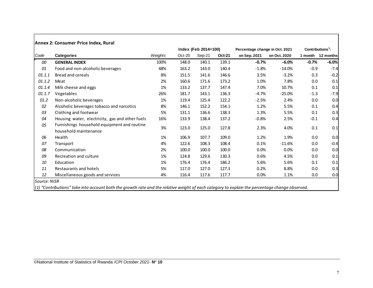|        |                                                                      |         |        | Index (Feb 2014=100) |               | Percentage change in Oct. 2021 | $Contributions1$ : |         |           |
|--------|----------------------------------------------------------------------|---------|--------|----------------------|---------------|--------------------------------|--------------------|---------|-----------|
| Code   | <b>Categories</b>                                                    | Weights | Oct-20 | Sep-21               | <b>Oct-21</b> | on Sep. 2021                   | on Oct. 2020       | 1 month | 12 months |
| 00     | <b>GENERAL INDEX</b>                                                 | 100%    | 148.0  | 140.1                | 139.1         | $-0.7%$                        | $-6.0%$            | $-0.7%$ | $-6.0%$   |
| 01     | Food and non-alcoholic beverages                                     | 48%     | 163.2  | 143.0                | 140.4         | $-1.8%$                        | $-14.0%$           | $-0.9$  | $-7.4$    |
| 01.1.1 | <b>Bread and cereals</b>                                             | 8%      | 151.5  | 141.6                | 146.6         | 3.5%                           | $-3.2%$            | 0.3     | $-0.2$    |
| 01.1.2 | Meat                                                                 | 2%      | 160.6  | 171.6                | 173.2         | 1.0%                           | 7.8%               | 0.0     | 0.1       |
| 01.1.4 | Milk cheese and eggs                                                 | 1%      | 133.2  | 137.7                | 147.4         | 7.0%                           | 10.7%              | 0.1     | 0.1       |
| 01.1.7 | Vegetables                                                           | 26%     | 181.7  | 143.1                | 136.3         | $-4.7%$                        | $-25.0%$           | $-1.3$  | $-7.9$    |
| 01.2   | Non-alcoholic beverages                                              | 1%      | 119.4  | 125.4                | 122.2         | $-2.5%$                        | 2.4%               | 0.0     | 0.0       |
| 02     | Alcoholic beverages tobacco and narcotics                            | 8%      | 146.1  | 152.2                | 154.1         | 1.2%                           | 5.5%               | 0.1     | 0.4       |
| 03     | Clothing and footwear                                                | 5%      | 131.1  | 136.6                | 138.3         | 1.3%                           | 5.5%               | 0.1     | 0.3       |
| 04     | Housing water, electricity, gas and other fuels                      | 16%     | 133.9  | 138.4                | 137.2         | $-0.8%$                        | 2.5%               | $-0.1$  | 0.4       |
| 05     | Furnishings household equipment and routine<br>household maintenance | 3%      | 123.0  | 125.0                | 127.8         | 2.3%                           | 4.0%               | 0.1     | 0.1       |
| 06     | Health                                                               | 1%      | 106.9  | 107.7                | 109.0         | 1.2%                           | 1.9%               | 0.0     | 0.0       |
| 07     | Transport                                                            | 4%      | 122.6  | 108.3                | 108.4         | 0.1%                           | $-11.6%$           | 0.0     | $-0.4$    |
| 08     | Communication                                                        | 2%      | 100.0  | 100.0                | 100.0         | 0.0%                           | 0.0%               | 0.0     | 0.0       |
| 09     | Recreation and culture                                               | 1%      | 124.8  | 129.6                | 130.3         | 0.6%                           | 4.5%               | 0.0     | 0.1       |
| 10     | Education                                                            | 1%      | 176.4  | 176.4                | 186.2         | 5.6%                           | 5.6%               | 0.1     | 0.1       |
| 11     | Restaurants and hotels                                               | 5%      | 117.0  | 127.0                | 127.3         | 0.2%                           | 8.8%               | 0.0     | 0.3       |
| 12     | Miscellaneous goods and services                                     | 4%      | 116.4  | 117.6                | 117.7         | 0.0%                           | 1.1%               | 0.0     | 0.0       |

┐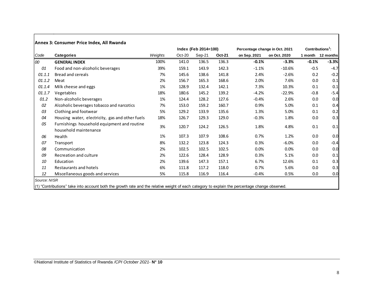|        |                                                                      |         |          | Index (Feb 2014=100) |               | Percentage change in Oct. 2021 |              | Contributions <sup>1</sup> : |           |
|--------|----------------------------------------------------------------------|---------|----------|----------------------|---------------|--------------------------------|--------------|------------------------------|-----------|
| Code   | <b>Categories</b>                                                    | Weights | $Oct-20$ | Sep-21               | <b>Oct-21</b> | on Sep. 2021                   | on Oct. 2020 | 1 month                      | 12 months |
| 100    | <b>GENERAL INDEX</b>                                                 | 100%    | 141.0    | 136.5                | 136.3         | $-0.1%$                        | $-3.3%$      | $-0.1%$                      | $-3.3%$   |
| 01     | Food and non-alcoholic beverages                                     | 39%     | 159.1    | 143.9                | 142.3         | $-1.1%$                        | $-10.6%$     | $-0.5$                       | $-4.7$    |
| 01.1.1 | <b>Bread and cereals</b>                                             | 7%      | 145.6    | 138.6                | 141.8         | 2.4%                           | $-2.6%$      | 0.2                          | $-0.2$    |
| 01.1.2 | Meat                                                                 | 2%      | 156.7    | 165.3                | 168.6         | 2.0%                           | 7.6%         | 0.0                          | 0.1       |
| 01.1.4 | Milk cheese and eggs                                                 | 1%      | 128.9    | 132.4                | 142.1         | 7.3%                           | 10.3%        | 0.1                          | 0.1       |
| 01.1.7 | Vegetables                                                           | 18%     | 180.6    | 145.2                | 139.2         | $-4.2%$                        | $-22.9%$     | $-0.8$                       | $-5.4$    |
| 01.2   | Non-alcoholic beverages                                              | 1%      | 124.4    | 128.2                | 127.6         | $-0.4%$                        | 2.6%         | 0.0                          | 0.0       |
| 02     | Alcoholic beverages tobacco and narcotics                            | 7%      | 153.0    | 159.2                | 160.7         | 0.9%                           | 5.0%         | 0.1                          | 0.4       |
| 03     | Clothing and footwear                                                | 5%      | 129.2    | 133.9                | 135.6         | 1.3%                           | 5.0%         | 0.1                          | 0.2       |
| 04     | Housing water, electricity, gas and other fuels                      | 18%     | 126.7    | 129.3                | 129.0         | $-0.3%$                        | 1.8%         | 0.0                          | 0.3       |
| 05     | Furnishings household equipment and routine<br>household maintenance | 3%      | 120.7    | 124.2                | 126.5         | 1.8%                           | 4.8%         | 0.1                          | 0.1       |
| 06     | Health                                                               | 1%      | 107.3    | 107.9                | 108.6         | 0.7%                           | 1.2%         | 0.0                          | 0.0       |
| 07     | Transport                                                            | 8%      | 132.2    | 123.8                | 124.3         | 0.3%                           | $-6.0%$      | 0.0                          | $-0.4$    |
| 08     | Communication                                                        | 2%      | 102.5    | 102.5                | 102.5         | 0.0%                           | 0.0%         | 0.0                          | 0.0       |
| 09     | Recreation and culture                                               | 2%      | 122.6    | 128.4                | 128.9         | 0.3%                           | 5.1%         | 0.0                          | 0.1       |
| 10     | Education                                                            | 2%      | 139.6    | 147.3                | 157.1         | 6.7%                           | 12.6%        | 0.1                          | 0.3       |
| 11     | Restaurants and hotels                                               | 6%      | 111.8    | 117.2                | 118.0         | 0.7%                           | 5.6%         | 0.0                          | 0.3       |
| 12     | Miscellaneous goods and services                                     | 5%      | 115.8    | 116.9                | 116.4         | $-0.4%$                        | 0.5%         | 0.0                          | 0.0       |

(1) "Contributions" take into account both the growth rate and the relative weight of each category to explain the percentage change observed.